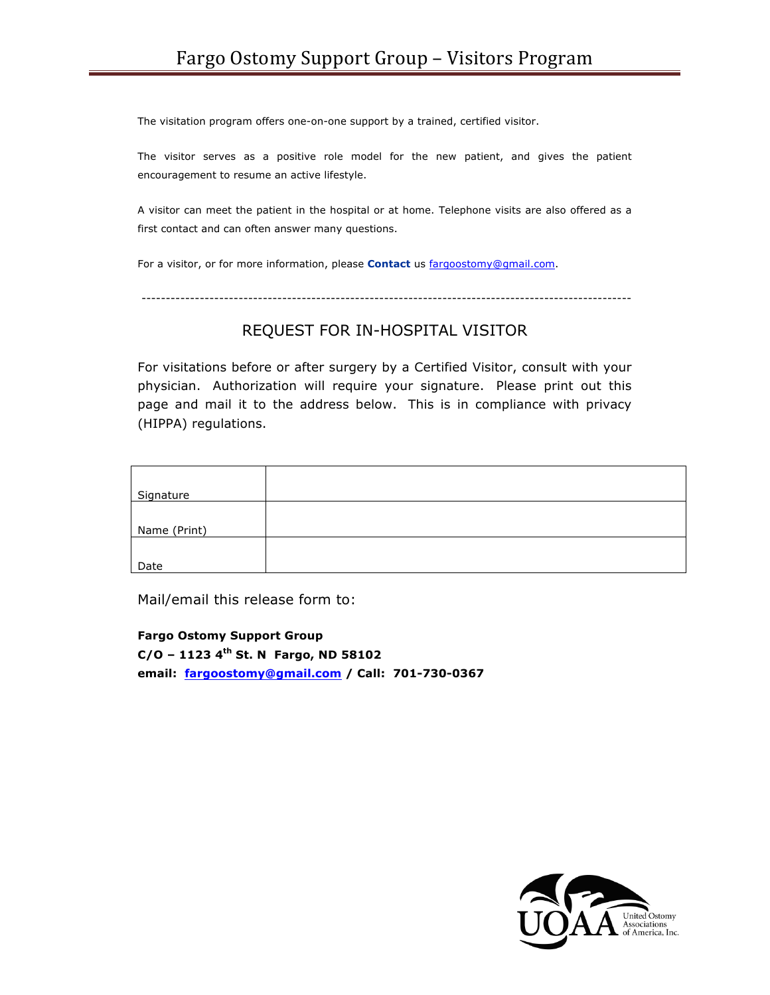The visitation program offers one-on-one support by a trained, certified visitor.

The visitor serves as a positive role model for the new patient, and gives the patient encouragement to resume an active lifestyle.

A visitor can meet the patient in the hospital or at home. Telephone visits are also offered as a first contact and can often answer many questions.

For a visitor, or for more information, please **Contact** us fargoostomy@gmail.com.

-----------------------------------------------------------------------------------------------------

## REQUEST FOR IN-HOSPITAL VISITOR

For visitations before or after surgery by a Certified Visitor, consult with your physician. Authorization will require your signature. Please print out this page and mail it to the address below. This is in compliance with privacy (HIPPA) regulations.

| Signature    |  |
|--------------|--|
|              |  |
| Name (Print) |  |
|              |  |
| Date         |  |

Mail/email this release form to:

**Fargo Ostomy Support Group C/O – 1123 4th St. N Fargo, ND 58102 email: fargoostomy@gmail.com / Call: 701-730-0367**